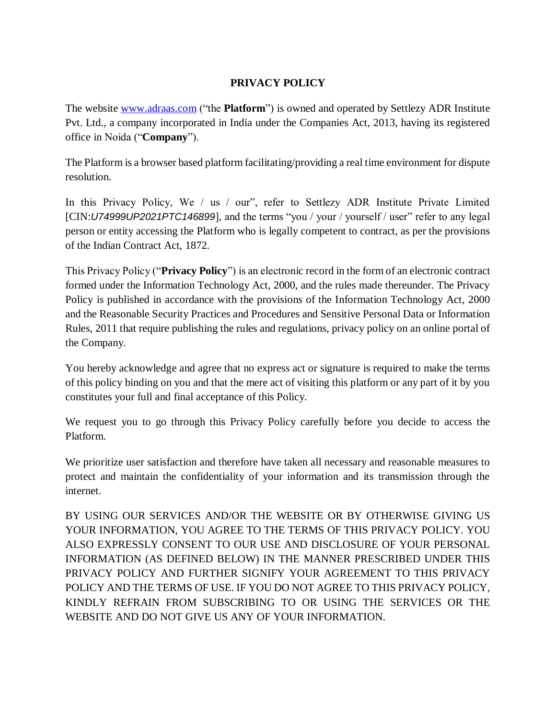## **PRIVACY POLICY**

The website [www.adraas.com](http://www.adraas.com/) ("the **Platform**") is owned and operated by Settlezy ADR Institute Pvt. Ltd., a company incorporated in India under the Companies Act, 2013, having its registered office in Noida ("**Company**").

The Platform is a browser based platform facilitating/providing a real time environment for dispute resolution.

In this Privacy Policy, We / us / our", refer to Settlezy ADR Institute Private Limited [CIN:*U74999UP2021PTC146899*], and the terms "you / your / yourself / user" refer to any legal person or entity accessing the Platform who is legally competent to contract, as per the provisions of the Indian Contract Act, 1872.

This Privacy Policy ("**Privacy Policy**") is an electronic record in the form of an electronic contract formed under the Information Technology Act, 2000, and the rules made thereunder. The Privacy Policy is published in accordance with the provisions of the Information Technology Act, 2000 and the Reasonable Security Practices and Procedures and Sensitive Personal Data or Information Rules, 2011 that require publishing the rules and regulations, privacy policy on an online portal of the Company.

You hereby acknowledge and agree that no express act or signature is required to make the terms of this policy binding on you and that the mere act of visiting this platform or any part of it by you constitutes your full and final acceptance of this Policy.

We request you to go through this Privacy Policy carefully before you decide to access the Platform.

We prioritize user satisfaction and therefore have taken all necessary and reasonable measures to protect and maintain the confidentiality of your information and its transmission through the internet.

BY USING OUR SERVICES AND/OR THE WEBSITE OR BY OTHERWISE GIVING US YOUR INFORMATION, YOU AGREE TO THE TERMS OF THIS PRIVACY POLICY. YOU ALSO EXPRESSLY CONSENT TO OUR USE AND DISCLOSURE OF YOUR PERSONAL INFORMATION (AS DEFINED BELOW) IN THE MANNER PRESCRIBED UNDER THIS PRIVACY POLICY AND FURTHER SIGNIFY YOUR AGREEMENT TO THIS PRIVACY POLICY AND THE TERMS OF USE. IF YOU DO NOT AGREE TO THIS PRIVACY POLICY, KINDLY REFRAIN FROM SUBSCRIBING TO OR USING THE SERVICES OR THE WEBSITE AND DO NOT GIVE US ANY OF YOUR INFORMATION.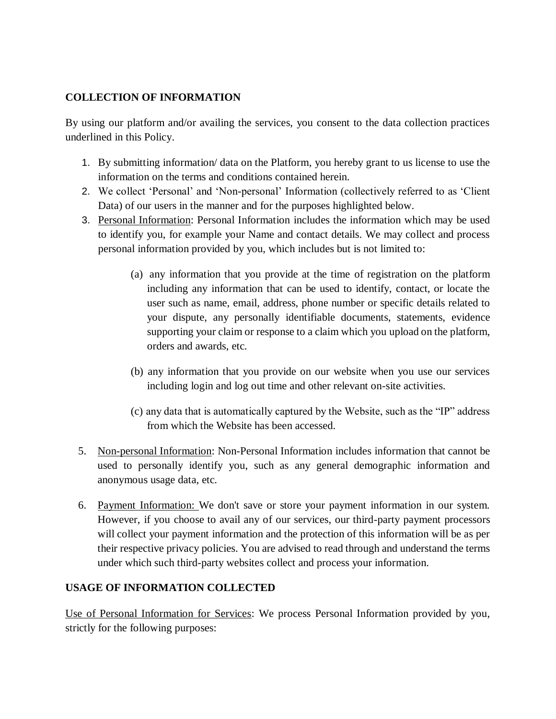### **COLLECTION OF INFORMATION**

By using our platform and/or availing the services, you consent to the data collection practices underlined in this Policy.

- 1. By submitting information/ data on the Platform, you hereby grant to us license to use the information on the terms and conditions contained herein.
- 2. We collect 'Personal' and 'Non-personal' Information (collectively referred to as 'Client Data) of our users in the manner and for the purposes highlighted below.
- 3. Personal Information: Personal Information includes the information which may be used to identify you, for example your Name and contact details. We may collect and process personal information provided by you, which includes but is not limited to:
	- (a) any information that you provide at the time of registration on the platform including any information that can be used to identify, contact, or locate the user such as name, email, address, phone number or specific details related to your dispute, any personally identifiable documents, statements, evidence supporting your claim or response to a claim which you upload on the platform, orders and awards, etc.
	- (b) any information that you provide on our website when you use our services including login and log out time and other relevant on-site activities.
	- (c) any data that is automatically captured by the Website, such as the "IP" address from which the Website has been accessed.
- 5. Non-personal Information: Non-Personal Information includes information that cannot be used to personally identify you, such as any general demographic information and anonymous usage data, etc.
- 6. Payment Information: We don't save or store your payment information in our system. However, if you choose to avail any of our services, our third-party payment processors will collect your payment information and the protection of this information will be as per their respective privacy policies. You are advised to read through and understand the terms under which such third-party websites collect and process your information.

### **USAGE OF INFORMATION COLLECTED**

Use of Personal Information for Services: We process Personal Information provided by you, strictly for the following purposes: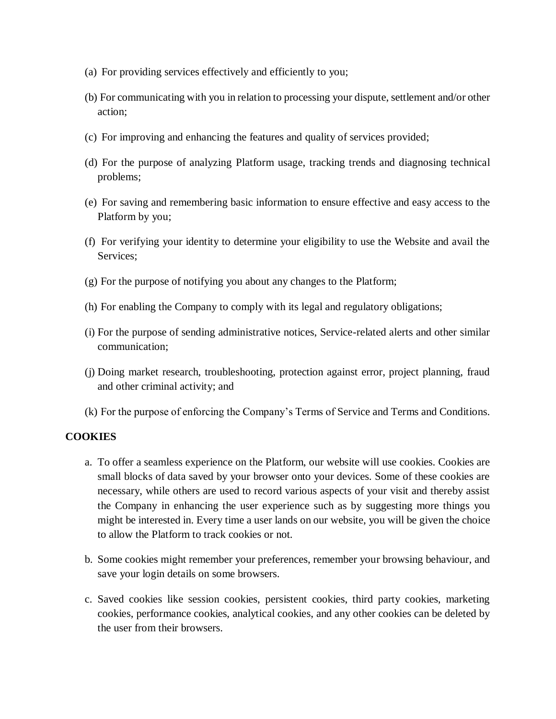- (a) For providing services effectively and efficiently to you;
- (b) For communicating with you in relation to processing your dispute, settlement and/or other action;
- (c) For improving and enhancing the features and quality of services provided;
- (d) For the purpose of analyzing Platform usage, tracking trends and diagnosing technical problems;
- (e) For saving and remembering basic information to ensure effective and easy access to the Platform by you;
- (f) For verifying your identity to determine your eligibility to use the Website and avail the Services;
- (g) For the purpose of notifying you about any changes to the Platform;
- (h) For enabling the Company to comply with its legal and regulatory obligations;
- (i) For the purpose of sending administrative notices, Service-related alerts and other similar communication;
- (j) Doing market research, troubleshooting, protection against error, project planning, fraud and other criminal activity; and
- (k) For the purpose of enforcing the Company's Terms of Service and Terms and Conditions.

#### **COOKIES**

- a. To offer a seamless experience on the Platform, our website will use cookies. Cookies are small blocks of data saved by your browser onto your devices. Some of these cookies are necessary, while others are used to record various aspects of your visit and thereby assist the Company in enhancing the user experience such as by suggesting more things you might be interested in. Every time a user lands on our website, you will be given the choice to allow the Platform to track cookies or not.
- b. Some cookies might remember your preferences, remember your browsing behaviour, and save your login details on some browsers.
- c. Saved cookies like session cookies, persistent cookies, third party cookies, marketing cookies, performance cookies, analytical cookies, and any other cookies can be deleted by the user from their browsers.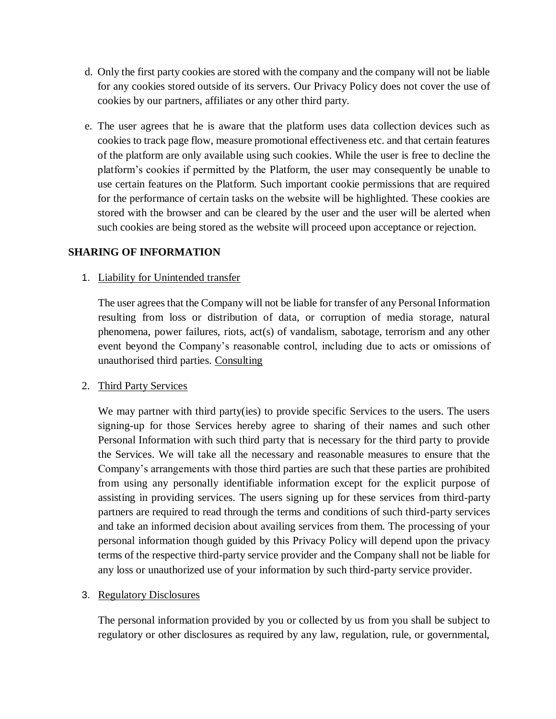- d. Only the first party cookies are stored with the company and the company will not be liable for any cookies stored outside of its servers. Our Privacy Policy does not cover the use of cookies by our partners, affiliates or any other third party.
- e. The user agrees that he is aware that the platform uses data collection devices such as cookies to track page flow, measure promotional effectiveness etc. and that certain features of the platform are only available using such cookies. While the user is free to decline the platform's cookies if permitted by the Platform, the user may consequently be unable to use certain features on the Platform. Such important cookie permissions that are required for the performance of certain tasks on the website will be highlighted. These cookies are stored with the browser and can be cleared by the user and the user will be alerted when such cookies are being stored as the website will proceed upon acceptance or rejection.

### **SHARING OF INFORMATION**

#### 1. Liability for Unintended transfer

The user agrees that the Company will not be liable for transfer of any Personal Information resulting from loss or distribution of data, or corruption of media storage, natural phenomena, power failures, riots, act(s) of vandalism, sabotage, terrorism and any other event beyond the Company's reasonable control, including due to acts or omissions of unauthorised third parties. Consulting

### 2. Third Party Services

We may partner with third party(ies) to provide specific Services to the users. The users signing-up for those Services hereby agree to sharing of their names and such other Personal Information with such third party that is necessary for the third party to provide the Services. We will take all the necessary and reasonable measures to ensure that the Company's arrangements with those third parties are such that these parties are prohibited from using any personally identifiable information except for the explicit purpose of assisting in providing services. The users signing up for these services from third-party partners are required to read through the terms and conditions of such third-party services and take an informed decision about availing services from them. The processing of your personal information though guided by this Privacy Policy will depend upon the privacy terms of the respective third-party service provider and the Company shall not be liable for any loss or unauthorized use of your information by such third-party service provider.

### 3. Regulatory Disclosures

The personal information provided by you or collected by us from you shall be subject to regulatory or other disclosures as required by any law, regulation, rule, or governmental,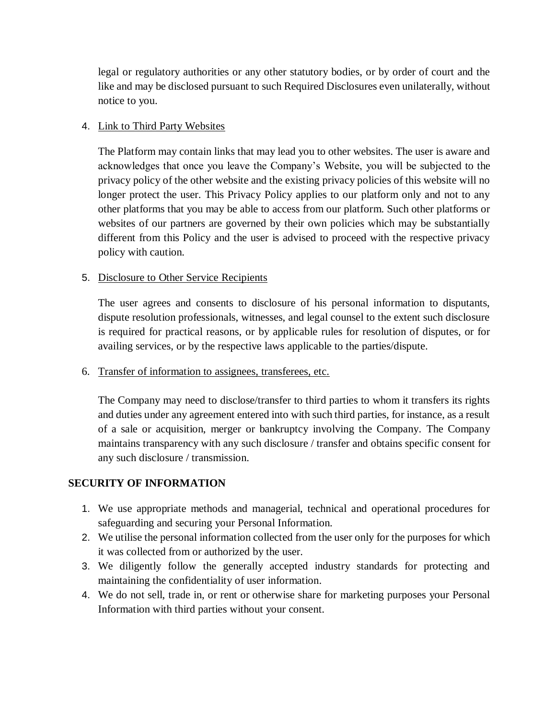legal or regulatory authorities or any other statutory bodies, or by order of court and the like and may be disclosed pursuant to such Required Disclosures even unilaterally, without notice to you.

### 4. Link to Third Party Websites

The Platform may contain links that may lead you to other websites. The user is aware and acknowledges that once you leave the Company's Website, you will be subjected to the privacy policy of the other website and the existing privacy policies of this website will no longer protect the user. This Privacy Policy applies to our platform only and not to any other platforms that you may be able to access from our platform. Such other platforms or websites of our partners are governed by their own policies which may be substantially different from this Policy and the user is advised to proceed with the respective privacy policy with caution.

### 5. Disclosure to Other Service Recipients

The user agrees and consents to disclosure of his personal information to disputants, dispute resolution professionals, witnesses, and legal counsel to the extent such disclosure is required for practical reasons, or by applicable rules for resolution of disputes, or for availing services, or by the respective laws applicable to the parties/dispute.

6. Transfer of information to assignees, transferees, etc.

The Company may need to disclose/transfer to third parties to whom it transfers its rights and duties under any agreement entered into with such third parties, for instance, as a result of a sale or acquisition, merger or bankruptcy involving the Company. The Company maintains transparency with any such disclosure / transfer and obtains specific consent for any such disclosure / transmission.

# **SECURITY OF INFORMATION**

- 1. We use appropriate methods and managerial, technical and operational procedures for safeguarding and securing your Personal Information.
- 2. We utilise the personal information collected from the user only for the purposes for which it was collected from or authorized by the user.
- 3. We diligently follow the generally accepted industry standards for protecting and maintaining the confidentiality of user information.
- 4. We do not sell, trade in, or rent or otherwise share for marketing purposes your Personal Information with third parties without your consent.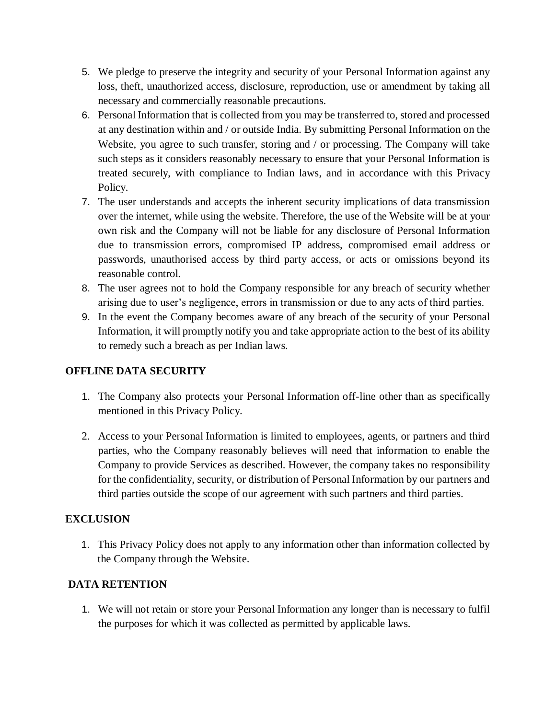- 5. We pledge to preserve the integrity and security of your Personal Information against any loss, theft, unauthorized access, disclosure, reproduction, use or amendment by taking all necessary and commercially reasonable precautions.
- 6. Personal Information that is collected from you may be transferred to, stored and processed at any destination within and / or outside India. By submitting Personal Information on the Website, you agree to such transfer, storing and / or processing. The Company will take such steps as it considers reasonably necessary to ensure that your Personal Information is treated securely, with compliance to Indian laws, and in accordance with this Privacy Policy.
- 7. The user understands and accepts the inherent security implications of data transmission over the internet, while using the website. Therefore, the use of the Website will be at your own risk and the Company will not be liable for any disclosure of Personal Information due to transmission errors, compromised IP address, compromised email address or passwords, unauthorised access by third party access, or acts or omissions beyond its reasonable control.
- 8. The user agrees not to hold the Company responsible for any breach of security whether arising due to user's negligence, errors in transmission or due to any acts of third parties.
- 9. In the event the Company becomes aware of any breach of the security of your Personal Information, it will promptly notify you and take appropriate action to the best of its ability to remedy such a breach as per Indian laws.

### **OFFLINE DATA SECURITY**

- 1. The Company also protects your Personal Information off-line other than as specifically mentioned in this Privacy Policy.
- 2. Access to your Personal Information is limited to employees, agents, or partners and third parties, who the Company reasonably believes will need that information to enable the Company to provide Services as described. However, the company takes no responsibility for the confidentiality, security, or distribution of Personal Information by our partners and third parties outside the scope of our agreement with such partners and third parties.

# **EXCLUSION**

1. This Privacy Policy does not apply to any information other than information collected by the Company through the Website.

# **DATA RETENTION**

1. We will not retain or store your Personal Information any longer than is necessary to fulfil the purposes for which it was collected as permitted by applicable laws.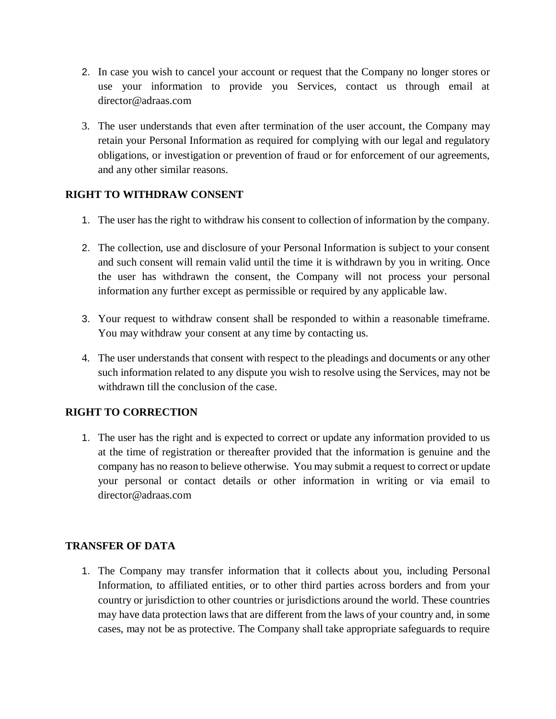- 2. In case you wish to cancel your account or request that the Company no longer stores or use your information to provide you Services, contact us through email at director@adraas.com
- 3. The user understands that even after termination of the user account, the Company may retain your Personal Information as required for complying with our legal and regulatory obligations, or investigation or prevention of fraud or for enforcement of our agreements, and any other similar reasons.

### **RIGHT TO WITHDRAW CONSENT**

- 1. The user has the right to withdraw his consent to collection of information by the company.
- 2. The collection, use and disclosure of your Personal Information is subject to your consent and such consent will remain valid until the time it is withdrawn by you in writing. Once the user has withdrawn the consent, the Company will not process your personal information any further except as permissible or required by any applicable law.
- 3. Your request to withdraw consent shall be responded to within a reasonable timeframe. You may withdraw your consent at any time by contacting us.
- 4. The user understands that consent with respect to the pleadings and documents or any other such information related to any dispute you wish to resolve using the Services, may not be withdrawn till the conclusion of the case.

# **RIGHT TO CORRECTION**

1. The user has the right and is expected to correct or update any information provided to us at the time of registration or thereafter provided that the information is genuine and the company has no reason to believe otherwise. You may submit a request to correct or update your personal or contact details or other information in writing or via email to director@adraas.com

### **TRANSFER OF DATA**

1. The Company may transfer information that it collects about you, including Personal Information, to affiliated entities, or to other third parties across borders and from your country or jurisdiction to other countries or jurisdictions around the world. These countries may have data protection laws that are different from the laws of your country and, in some cases, may not be as protective. The Company shall take appropriate safeguards to require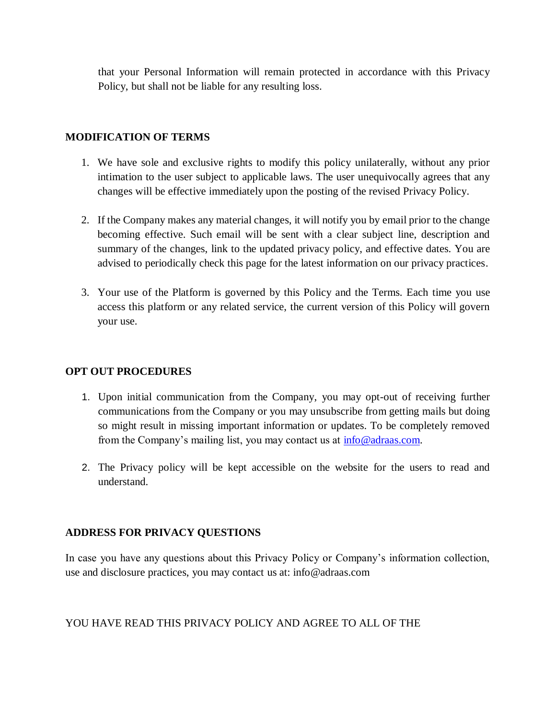that your Personal Information will remain protected in accordance with this Privacy Policy, but shall not be liable for any resulting loss.

#### **MODIFICATION OF TERMS**

- 1. We have sole and exclusive rights to modify this policy unilaterally, without any prior intimation to the user subject to applicable laws. The user unequivocally agrees that any changes will be effective immediately upon the posting of the revised Privacy Policy.
- 2. If the Company makes any material changes, it will notify you by email prior to the change becoming effective. Such email will be sent with a clear subject line, description and summary of the changes, link to the updated privacy policy, and effective dates. You are advised to periodically check this page for the latest information on our privacy practices.
- 3. Your use of the Platform is governed by this Policy and the Terms. Each time you use access this platform or any related service, the current version of this Policy will govern your use.

### **OPT OUT PROCEDURES**

- 1. Upon initial communication from the Company, you may opt-out of receiving further communications from the Company or you may unsubscribe from getting mails but doing so might result in missing important information or updates. To be completely removed from the Company's mailing list, you may contact us at [info@adraas.com.](mailto:info@adraas.com)
- 2. The Privacy policy will be kept accessible on the website for the users to read and understand.

### **ADDRESS FOR PRIVACY QUESTIONS**

In case you have any questions about this Privacy Policy or Company's information collection, use and disclosure practices, you may contact us at: info@adraas.com

### YOU HAVE READ THIS PRIVACY POLICY AND AGREE TO ALL OF THE